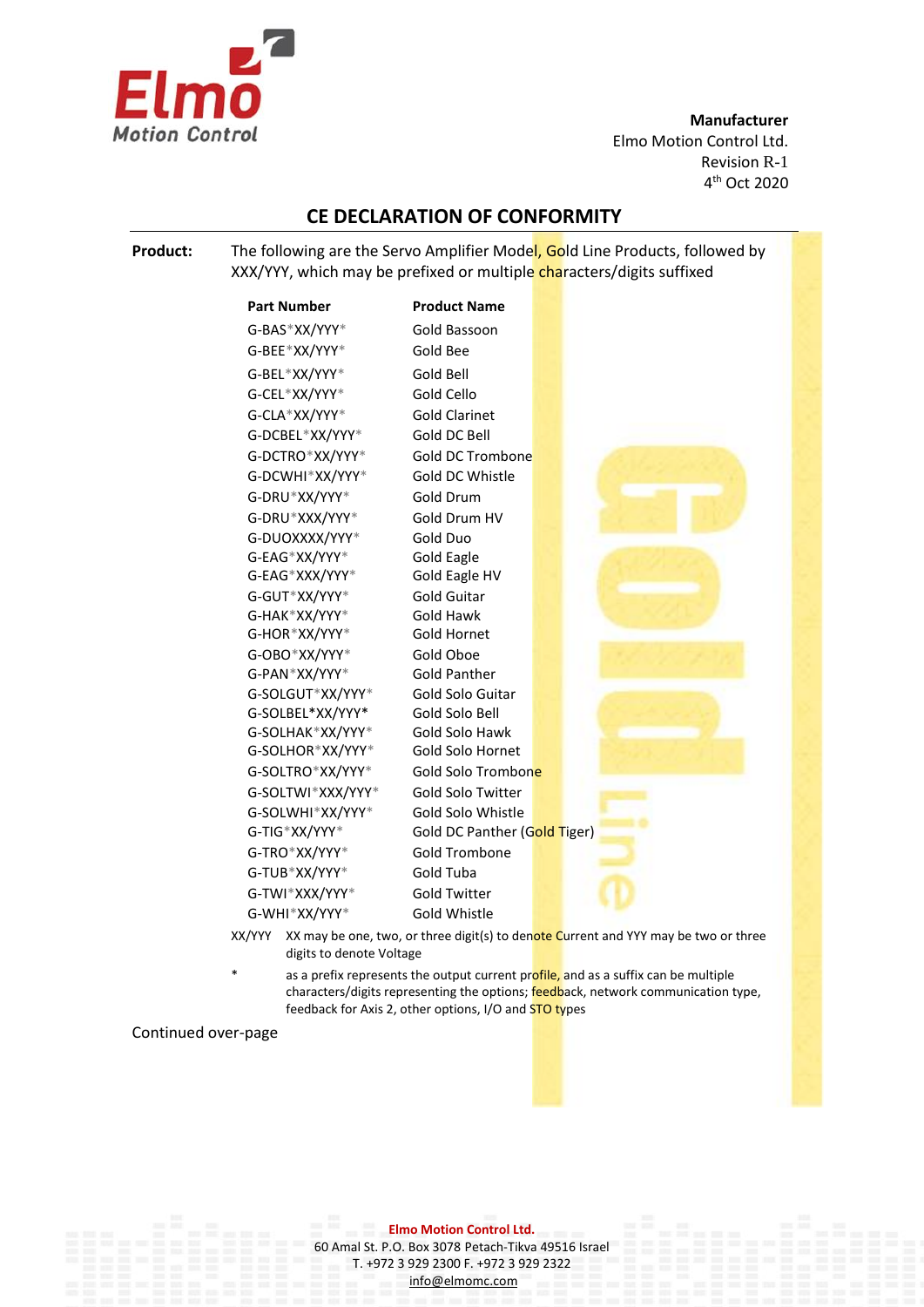

**Manufacturer** Elmo Motion Control Ltd. Revision R-1 4 th Oct 2020

## **CE DECLARATION OF CONFORMITY**

**Product:** The following are the Servo Amplifier Model, Gold Line Products, followed by XXX/YYY, which may be prefixed or multiple characters/digits suffixed

| <b>Part Number</b> |                   | <b>Product Name</b>                                                                       |  |  |  |
|--------------------|-------------------|-------------------------------------------------------------------------------------------|--|--|--|
| G-BAS*XX/YYY*      |                   | Gold Bassoon                                                                              |  |  |  |
| G-BEE*XX/YYY*      |                   | Gold Bee                                                                                  |  |  |  |
| G-BEL*XX/YYY*      |                   | Gold Bell                                                                                 |  |  |  |
| G-CEL*XX/YYY*      |                   | Gold Cello                                                                                |  |  |  |
| G-CLA*XX/YYY*      |                   | <b>Gold Clarinet</b>                                                                      |  |  |  |
| G-DCBEL*XX/YYY*    |                   | Gold DC Bell                                                                              |  |  |  |
|                    | G-DCTRO*XX/YYY*   | <b>Gold DC Trombone</b>                                                                   |  |  |  |
|                    | G-DCWHI*XX/YYY*   | Gold DC Whistle                                                                           |  |  |  |
| G-DRU*XX/YYY*      |                   | Gold Drum                                                                                 |  |  |  |
| G-DRU*XXX/YYY*     |                   | Gold Drum HV                                                                              |  |  |  |
| G-DUOXXXX/YYY*     |                   | Gold Duo                                                                                  |  |  |  |
| G-EAG*XX/YYY*      |                   | <b>Gold Eagle</b>                                                                         |  |  |  |
| G-EAG*XXX/YYY*     |                   | Gold Eagle HV                                                                             |  |  |  |
| G-GUT*XX/YYY*      |                   | <b>Gold Guitar</b>                                                                        |  |  |  |
| G-HAK*XX/YYY*      |                   | <b>Gold Hawk</b>                                                                          |  |  |  |
| G-HOR*XX/YYY*      |                   | Gold Hornet                                                                               |  |  |  |
| G-OBO*XX/YYY*      |                   | Gold Oboe                                                                                 |  |  |  |
| G-PAN*XX/YYY*      |                   | <b>Gold Panther</b>                                                                       |  |  |  |
|                    | G-SOLGUT*XX/YYY*  | Gold Solo Guitar                                                                          |  |  |  |
|                    | G-SOLBEL*XX/YYY*  | Gold Solo Bell                                                                            |  |  |  |
|                    | G-SOLHAK*XX/YYY*  | Gold Solo Hawk                                                                            |  |  |  |
|                    | G-SOLHOR*XX/YYY*  | Gold Solo Hornet                                                                          |  |  |  |
|                    | G-SOLTRO*XX/YYY*  | Gold Solo Trombone                                                                        |  |  |  |
|                    | G-SOLTWI*XXX/YYY* | <b>Gold Solo Twitter</b>                                                                  |  |  |  |
|                    | G-SOLWHI*XX/YYY*  | Gold Solo Whistle                                                                         |  |  |  |
| G-TIG*XX/YYY*      |                   | Gold DC Panther (Gold Tiger)                                                              |  |  |  |
| G-TRO*XX/YYY*      |                   | Gold Trombone                                                                             |  |  |  |
| G-TUB*XX/YYY*      |                   | Gold Tuba                                                                                 |  |  |  |
| G-TWI*XXX/YYY*     |                   | <b>Gold Twitter</b>                                                                       |  |  |  |
| G-WHI*XX/YYY*      |                   | Gold Whistle                                                                              |  |  |  |
|                    |                   | XX/YYY XX may be one, two, or three digit(s) to denote Current and YYY may be two or thre |  |  |  |

- XX/YYY XX may be one, two, or three digit(s) to den<mark>ote C</mark>urrent and YYY may be two or three digits to denote Voltage
- as a prefix represents the output current profile, and as a suffix can be multiple characters/digits representing the options; feedback, network communication type, feedback for Axis 2, other options, I/O and STO types

Continued over-page

**Elmo Motion Control Ltd.** 60 Amal St. P.O. Box 3078 Petach-Tikva 49516 Israel T. +972 3 929 2300 F. +972 3 929 2322 [info@elmomc.com](mailto:info@elmomc.com)